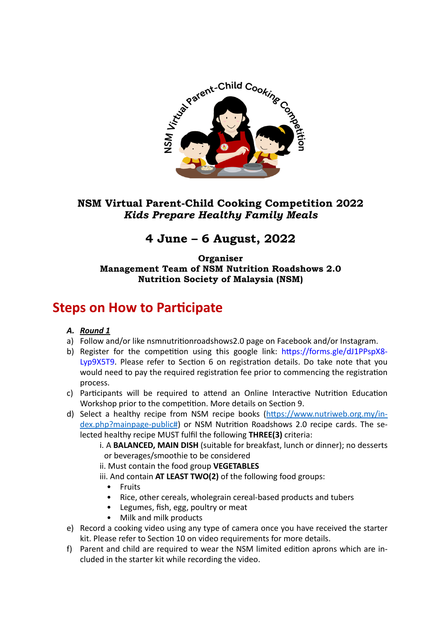

### **NSM Virtual Parent-Child Cooking Competition 2022**  *Kids Prepare Healthy Family Meals*

## **4 June – 6 August, 2022**

**Organiser Management Team of NSM Nutrition Roadshows 2.0 Nutrition Society of Malaysia (NSM)** 

# **Steps on How to Participate**

### *A. Round 1*

- a) Follow and/or like nsmnutritionroadshows2.0 page on Facebook and/or Instagram.
- b) Register for the competition using this google link: https://forms.gle/dJ1PPspX8-[Lyp9X5T9.](https://forms.gle/dJ1PPspX8Lyp9X5T9) Please refer to Section 6 on registration details. Do take note that you would need to pay the required registration fee prior to commencing the registration process.
- c) Participants will be required to attend an Online Interactive Nutrition Education Workshop prior to the competition. More details on Section 9.
- d) Select a healthy recipe from NSM recipe books (https://www.nutriweb.org.my/in[dex.php?mainpage-public#\)](https://www.nutriweb.org.my/index.php?mainpage-public%252523) or NSM Nutrition Roadshows 2.0 recipe cards. The selected healthy recipe MUST fulfil the following **THREE(3)** criteria:
	- i. A **BALANCED, MAIN DISH** (suitable for breakfast, lunch or dinner); no desserts or beverages/smoothie to be considered
	- ii. Must contain the food group VEGETABLES
	- iii. And contain **AT LEAST TWO(2)** of the following food groups:
		- Fruits
		- Rice, other cereals, wholegrain cereal-based products and tubers
		- Legumes, fish, egg, poultry or meat
		- Milk and milk products
- e) Record a cooking video using any type of camera once you have received the starter kit. Please refer to Section 10 on video requirements for more details.
- f) Parent and child are required to wear the NSM limited edition aprons which are included in the starter kit while recording the video.